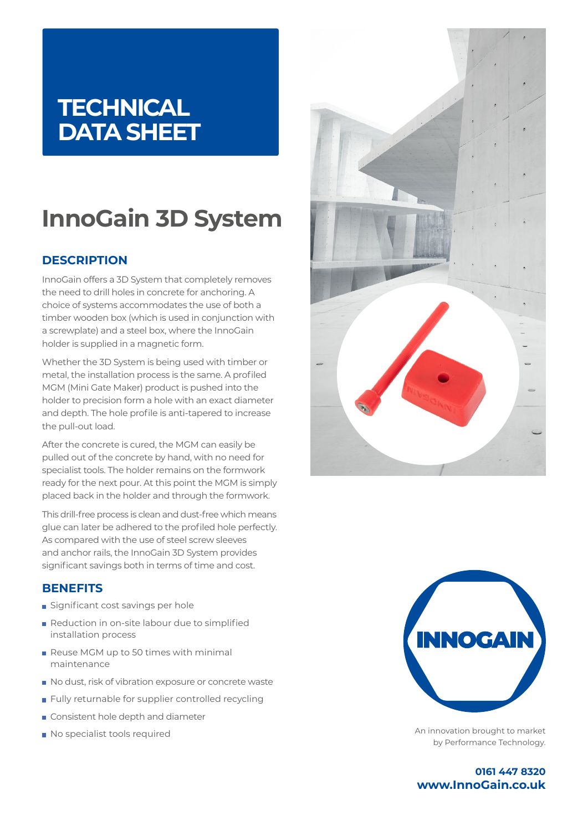## **TECHNICAL DATA SHEET**

# **InnoGain 3D System**

## **DESCRIPTION**

InnoGain offers a 3D System that completely removes the need to drill holes in concrete for anchoring. A choice of systems accommodates the use of both a timber wooden box (which is used in conjunction with a screwplate) and a steel box, where the InnoGain holder is supplied in a magnetic form.

Whether the 3D System is being used with timber or metal, the installation process is the same. A profiled MGM (Mini Gate Maker) product is pushed into the holder to precision form a hole with an exact diameter and depth. The hole profile is anti-tapered to increase the pull-out load.

After the concrete is cured, the MGM can easily be pulled out of the concrete by hand, with no need for specialist tools. The holder remains on the formwork ready for the next pour. At this point the MGM is simply placed back in the holder and through the formwork.

This drill-free process is clean and dust-free which means glue can later be adhered to the profiled hole perfectly. As compared with the use of steel screw sleeves and anchor rails, the InnoGain 3D System provides significant savings both in terms of time and cost.

### **BENEFITS**

- Significant cost savings per hole
- Reduction in on-site labour due to simplified installation process
- Reuse MGM up to 50 times with minimal maintenance
- No dust, risk of vibration exposure or concrete waste
- **Fully returnable for supplier controlled recycling**
- Consistent hole depth and diameter
- No specialist tools required





An innovation brought to market by Performance Technology.

**0161 447 8320 www.InnoGain.co.uk**